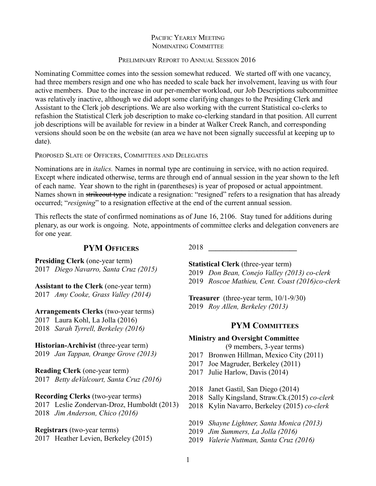# PACIFIC YEARLY MEETING NOMINATING COMMITTEE

## PRELIMINARY REPORT TO ANNUAL SESSION 2016

Nominating Committee comes into the session somewhat reduced. We started off with one vacancy, had three members resign and one who has needed to scale back her involvement, leaving us with four active members. Due to the increase in our per-member workload, our Job Descriptions subcommittee was relatively inactive, although we did adopt some clarifying changes to the Presiding Clerk and Assistant to the Clerk job descriptions. We are also working with the current Statistical co-clerks to refashion the Statistical Clerk job description to make co-clerking standard in that position. All current job descriptions will be available for review in a binder at Walker Creek Ranch, and corresponding versions should soon be on the website (an area we have not been signally successful at keeping up to date).

## PROPOSED SLATE OF OFFICERS, COMMITTEES AND DELEGATES

Nominations are in *italics.* Names in normal type are continuing in service, with no action required. Except where indicated otherwise, terms are through end of annual session in the year shown to the left of each name. Year shown to the right in (parentheses) is year of proposed or actual appointment. Names shown in strikeout type indicate a resignation: "resigned" refers to a resignation that has already occurred; "*resigning*" to a resignation effective at the end of the current annual session.

This reflects the state of confirmed nominations as of June 16, 2106. Stay tuned for additions during plenary, as our work is ongoing. Note, appointments of committee clerks and delegation conveners are for one year.

# **PYM OFFICERS**

**Presiding Clerk** (one-year term) 2017 *Diego Navarro, Santa Cruz (2015)*

**Assistant to the Clerk** (one-year term) 2017 *Amy Cooke, Grass Valley (2014)*

**Arrangements Clerks** (two-year terms) 2017 Laura Kohl, La Jolla (2016) 2018 *Sarah Tyrrell, Berkeley (2016)*

**Historian-Archivist** (three-year term) 2019 *Jan Tappan, Orange Grove (2013)*

**Reading Clerk** (one-year term) 2017 *Betty deValcourt, Santa Cruz (2016)*

**Recording Clerks** (two-year terms) 2017 Leslie Zondervan-Droz, Humboldt (2013) 2018 *Jim Anderson, Chico (2016)*

**Registrars** (two-year terms) 2017 Heather Levien, Berkeley (2015) 2018 **\_\_\_\_\_\_\_\_\_\_\_\_\_\_\_\_\_\_\_\_\_\_\_\_**

**Statistical Clerk** (three-year term) 2019 *Don Bean, Conejo Valley (2013) co-clerk* 2019 *Roscoe Mathieu, Cent. Coast (2016)co-clerk*

**Treasurer** (three-year term, 10/1-9/30) 2019 *Roy Allen, Berkeley (2013)*

# **PYM COMMITTEES**

## **Ministry and Oversight Committee**

(9 members, 3-year terms)

- 2017 Bronwen Hillman, Mexico City (2011)
- 2017 Joe Magruder, Berkeley (2011)
- 2017 Julie Harlow, Davis (2014)
- 2018 Janet Gastil, San Diego (2014)
- 2018 Sally Kingsland, Straw.Ck.(2015) *co-clerk*
- 2018 Kylin Navarro, Berkeley (2015) *co-clerk*
- 2019 *Shayne Lightner, Santa Monica (2013)*
- 2019 *Jim Summers, La Jolla (2016)*
- 2019 *Valerie Nuttman, Santa Cruz (2016)*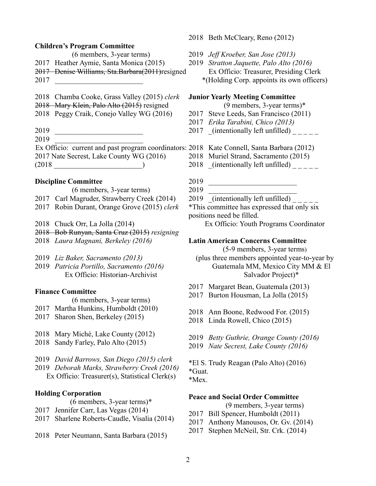### **Children's Program Committee**

- (6 members, 3-year terms)
- 2017 Heather Aymie, Santa Monica (2015)
- 2017 Denise Williams, Sta.Barbara(2011)resigned
- 2017 \_\_\_\_\_\_\_\_\_\_\_\_\_\_\_\_\_\_\_\_\_\_\_\_
- 2018 Chamba Cooke, Grass Valley (2015) *clerk*
- 2018 Mary Klein, Palo Alto (2015) resigned
- 2018 Peggy Craik, Conejo Valley WG (2016)
- 2019 \_\_\_\_\_\_\_\_\_\_\_\_\_\_\_\_\_\_\_\_\_\_\_\_
- 2019 \_\_\_\_\_\_\_\_\_\_\_\_\_\_\_\_\_\_\_\_\_\_\_\_

Ex Officio: current and past program coordinators: 2018 Kate Connell, Santa Barbara (2012) 2017 Nate Secrest, Lake County WG (2016)  $(2018$ 

# **Discipline Committee**

- (6 members, 3-year terms)
- 2017 Carl Magruder, Strawberry Creek (2014)
- 2017 Robin Durant, Orange Grove (2015) *clerk*
- 2018 Chuck Orr, La Jolla (2014)
- 2018 Bob Runyan, Santa Cruz (2015) *resigning*
- 2018 *Laura Magnani, Berkeley (2016)*
- 2019 *Liz Baker, Sacramento (2013)*
- 2019 *Patricia Portillo, Sacramento (2016)* Ex Officio: Historian-Archivist

### **Finance Committee**

- (6 members, 3-year terms)
- 2017 Martha Hunkins, Humboldt (2010)
- 2017 Sharon Shen, Berkeley (2015)
- 2018 Mary Miché, Lake County (2012)
- 2018 Sandy Farley, Palo Alto (2015)
- 2019 *David Barrows, San Diego (2015) clerk*
- 2019 *Deborah Marks, Strawberry Creek (2016)* Ex Officio: Treasurer(s), Statistical Clerk(s)

## **Holding Corporation**

- (6 members, 3-year terms)\*
- 2017 Jennifer Carr, Las Vegas (2014)
- 2017 Sharlene Roberts-Caudle, Visalia (2014)
- 2018 Peter Neumann, Santa Barbara (2015)
- 2018 Beth McCleary, Reno (2012)
- 2019 *Jeff Kroeber, San Jose (2013)*
- 2019 *Stratton Jaquette, Palo Alto (2016)* Ex Officio: Treasurer, Presiding Clerk \*(Holding Corp. appoints its own officers)

#### **Junior Yearly Meeting Committee**

(9 members, 3-year terms)\*

- 2017 Steve Leeds, San Francisco (2011)
- 2017 *Erika Tarabini, Chico (2013)*
- 2017 (intentionally left unfilled)
- 
- 2018 Muriel Strand, Sacramento (2015)
- 2018 (intentionally left unfilled)  $\frac{1}{2}$
- 2019 \_\_\_\_\_\_\_\_\_\_\_\_\_\_\_\_\_\_\_\_\_\_\_\_
- 2019 \_\_\_\_\_\_\_\_\_\_\_\_\_\_\_\_\_\_\_\_\_\_\_\_
- 2019 (intentionally left unfilled)  $\frac{1}{2}$

\*This committee has expressed that only six positions need be filled.

Ex Officio: Youth Programs Coordinator

#### **Latin American Concerns Committee**

(5-9 members, 3-year terms)

(plus three members appointed year-to-year by Guatemala MM, Mexico City MM & El Salvador Project)\*

- 2017 Margaret Bean, Guatemala (2013)
- 2017 Burton Housman, La Jolla (2015)
- 2018 Ann Boone, Redwood For. (2015)
- 2018 Linda Rowell, Chico (2015)
- 2019 *Betty Guthrie, Orange County (2016)*
- 2019 *Nate Secrest, Lake County (2016)*
- \*El S. Trudy Reagan (Palo Alto) (2016) \*Guat.
- \*Mex.

## **Peace and Social Order Committee**

(9 members, 3-year terms)

- 2017 Bill Spencer, Humboldt (2011)
- 2017 Anthony Manousos, Or. Gv. (2014)
- 2017 Stephen McNeil, Str. Crk. (2014)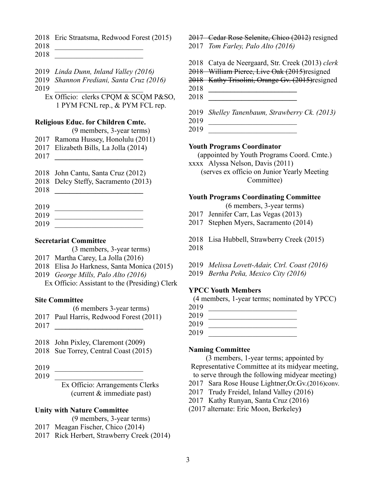- Eric Straatsma, Redwood Forest (2015)
- \_\_\_\_\_\_\_\_\_\_\_\_\_\_\_\_\_\_\_\_\_\_\_\_
- \_\_\_\_\_\_\_\_\_\_\_\_\_\_\_\_\_\_\_\_\_\_\_\_
- *Linda Dunn, Inland Valley (2016)*
- *Shannon Frediani, Santa Cruz (2016)*
- \_\_\_\_\_\_\_\_\_\_\_\_\_\_\_\_\_\_\_\_\_\_\_\_

Ex Officio: clerks CPQM & SCQM P&SO, 1 PYM FCNL rep., & PYM FCL rep.

### **Religious Educ. for Children Cmte.**

- (9 members, 3-year terms)
- Ramona Hussey, Honolulu (2011)
- Elizabeth Bills, La Jolla (2014)
- **\_\_\_\_\_\_\_\_\_\_\_\_\_\_\_\_\_\_\_\_\_\_\_\_**
- John Cantu, Santa Cruz (2012)
- Delcy Steffy, Sacramento (2013)
- **\_\_\_\_\_\_\_\_\_\_\_\_\_\_\_\_\_\_\_\_\_\_\_\_**
- \_\_\_\_\_\_\_\_\_\_\_\_\_\_\_\_\_\_\_\_\_\_\_\_
- \_\_\_\_\_\_\_\_\_\_\_\_\_\_\_\_\_\_\_\_\_\_\_\_ \_\_\_\_\_\_\_\_\_\_\_\_\_\_\_\_\_\_\_\_\_\_\_\_

### **Secretariat Committee**

- (3 members, 3-year terms)
- Martha Carey, La Jolla (2016)
- Elisa Jo Harkness, Santa Monica (2015)
- *George Mills, Palo Alto (2016)*
	- Ex Officio: Assistant to the (Presiding) Clerk

## **Site Committee**

- (6 members 3-year terms)
- Paul Harris, Redwood Forest (2011)
- **\_\_\_\_\_\_\_\_\_\_\_\_\_\_\_\_\_\_\_\_\_\_\_\_**
- John Pixley, Claremont (2009)
- Sue Torrey, Central Coast (2015)
- \_\_\_\_\_\_\_\_\_\_\_\_\_\_\_\_\_\_\_\_\_\_\_\_
- \_\_\_\_\_\_\_\_\_\_\_\_\_\_\_\_\_\_\_\_\_\_\_\_

Ex Officio: Arrangements Clerks (current & immediate past)

## **Unity with Nature Committee**

- (9 members, 3-year terms)
- Meagan Fischer, Chico (2014)
- Rick Herbert, Strawberry Creek (2014)

2017 Cedar Rose Selenite, Chico (2012) resigned *Tom Farley, Palo Alto (2016)*

- Catya de Neergaard, Str. Creek (2013) *clerk*
- 2018 William Pierce, Live Oak (2015)resigned
- Kathy Trisolini, Orange Gv. (2015)resigned
- **\_\_\_\_\_\_\_\_\_\_\_\_\_\_\_\_\_\_\_\_\_\_\_\_**
- **\_\_\_\_\_\_\_\_\_\_\_\_\_\_\_\_\_\_\_\_\_\_\_\_**
- *Shelley Tanenbaum, Strawberry Ck. (2013)*
- \_\_\_\_\_\_\_\_\_\_\_\_\_\_\_\_\_\_\_\_\_\_\_\_
- \_\_\_\_\_\_\_\_\_\_\_\_\_\_\_\_\_\_\_\_\_\_\_\_

# **Youth Programs Coordinator**

(appointed by Youth Programs Coord. Cmte.) xxxx Alyssa Nelson, Davis (2011)

(serves ex officio on Junior Yearly Meeting Committee)

# **Youth Programs Coordinating Committee**

(6 members, 3-year terms)

- Jennifer Carr, Las Vegas (2013)
- Stephen Myers, Sacramento (2014)
- Lisa Hubbell, Strawberry Creek (2015)

- *Melissa Lovett-Adair, Ctrl. Coast (2016)*
- *Bertha Peña, Mexico City (2016)*

### **YPCC Youth Members**

(4 members, 1-year terms; nominated by YPCC)

- \_\_\_\_\_\_\_\_\_\_\_\_\_\_\_\_\_\_\_\_\_\_\_\_
- \_\_\_\_\_\_\_\_\_\_\_\_\_\_\_\_\_\_\_\_\_\_\_\_
- \_\_\_\_\_\_\_\_\_\_\_\_\_\_\_\_\_\_\_\_\_\_\_\_
- \_\_\_\_\_\_\_\_\_\_\_\_\_\_\_\_\_\_\_\_\_\_\_\_

### **Naming Committee**

(3 members, 1-year terms; appointed by Representative Committee at its midyear meeting, to serve through the following midyear meeting)

- Sara Rose House Lightner,Or.Gv.(2016)conv.
- Trudy Freidel, Inland Valley (2016)
- Kathy Runyan, Santa Cruz (2016)
- (2017 alternate: Eric Moon, Berkeley**)**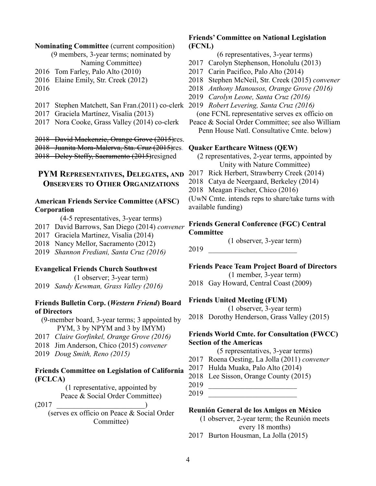#### **Nominating Committee** (current composition)

(9 members, 3-year terms; nominated by Naming Committee)

- 2016 Tom Farley, Palo Alto (2010)
- 2016 Elaine Emily, Str. Creek (2012)
- 2016
- 2017 Stephen Matchett, San Fran.(2011) co-clerk 2019 *Robert Levering, Santa Cruz (2016)*
- 2017 Graciela Martínez, Visalia (2013)
- 2017 Nora Cooke, Grass Valley (2014) co-clerk

2018 David Mackenzie, Orange Grove (2015)res.

2018 Juanita Mora-Malerva, Sta. Cruz (2015)res. 2018 Delcy Steffy, Sacramento (2015)resigned

# **PYM REPRESENTATIVES, DELEGATES, AND OBSERVERS TO OTHER ORGANIZATIONS**

# **American Friends Service Committee (AFSC) Corporation**

(4-5 representatives, 3-year terms)

- 2017 David Barrows, San Diego (2014) *convener*
- 2017 Graciela Martinez, Visalia (2014)
- 2018 Nancy Mellor, Sacramento (2012)
- 2019 *Shannon Frediani, Santa Cruz (2016)*

## **Evangelical Friends Church Southwest**

(1 observer; 3-year term) 2019 *Sandy Kewman, Grass Valley (2016)*

## **Friends Bulletin Corp. (***Western Friend***) Board of Directors**

(9-member board, 3-year terms; 3 appointed by PYM, 3 by NPYM and 3 by IMYM)

- 2017 *Claire Gorfinkel, Orange Grove (2016)*
- 2018 Jim Anderson, Chico (2015) *convener*
- 2019 *Doug Smith, Reno (2015)*

## **Friends Committee on Legislation of California (FCLCA)**

(1 representative, appointed by Peace & Social Order Committee)

 $(2017$ 

(serves ex officio on Peace & Social Order Committee)

# **Friends' Committee on National Legislation (FCNL)**

(6 representatives, 3-year terms)

- 2017 Carolyn Stephenson, Honolulu (2013)
- 2017 Carin Pacifico, Palo Alto (2014)
- 2018 Stephen McNeil, Str. Creek (2015) *convener*
- 2018 *Anthony Manousos, Orange Grove (2016)*
- 2019 *Carolyn Leone, Santa Cruz (2016)*
- 

(one FCNL representative serves ex officio on

Peace & Social Order Committee; see also William Penn House Natl. Consultative Cmte. below)

#### **Quaker Earthcare Witness (QEW)**

(2 representatives, 2-year terms, appointed by Unity with Nature Committee)

- 2017 Rick Herbert, Strawberry Creek (2014)
- 2018 Catya de Neergaard, Berkeley (2014)
- 2018 Meagan Fischer, Chico (2016)

(UwN Cmte. intends reps to share/take turns with available funding)

## **Friends General Conference (FGC) Central Committee**

(1 observer, 3-year term)

2019 \_\_\_\_\_\_\_\_\_\_\_\_\_\_\_\_\_\_\_\_\_\_\_\_

**Friends Peace Team Project Board of Directors**

(1 member, 3-year term)

2018 Gay Howard, Central Coast (2009)

### **Friends United Meeting (FUM)**

(1 observer, 3-year term)

2018 Dorothy Henderson, Grass Valley (2015)

# **Friends World Cmte. for Consultation (FWCC) Section of the Americas**

(5 representatives, 3-year terms)

- 2017 Roena Oesting, La Jolla (2011) *convener*
- 2017 Hulda Muaka, Palo Alto (2014)
- 2018 Lee Sisson, Orange County (2015)
- 2019 \_\_\_\_\_\_\_\_\_\_\_\_\_\_\_\_\_\_\_\_\_\_\_\_

2019 \_\_\_\_\_\_\_\_\_\_\_\_\_\_\_\_\_\_\_\_\_\_\_\_

### **Reunión General de los Amigos en México**

(1 observer, 2-year term; the Reunión meets every 18 months)

2017 Burton Housman, La Jolla (2015)